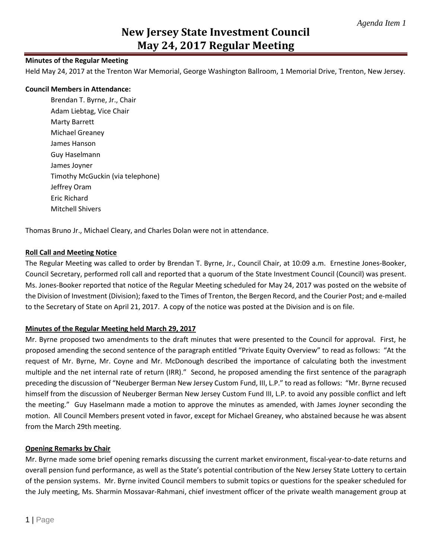### **Minutes of the Regular Meeting**

Held May 24, 2017 at the Trenton War Memorial, George Washington Ballroom, 1 Memorial Drive, Trenton, New Jersey.

#### **Council Members in Attendance:**

Brendan T. Byrne, Jr., Chair Adam Liebtag, Vice Chair Marty Barrett Michael Greaney James Hanson Guy Haselmann James Joyner Timothy McGuckin (via telephone) Jeffrey Oram Eric Richard Mitchell Shivers

Thomas Bruno Jr., Michael Cleary, and Charles Dolan were not in attendance.

### **Roll Call and Meeting Notice**

The Regular Meeting was called to order by Brendan T. Byrne, Jr., Council Chair, at 10:09 a.m. Ernestine Jones-Booker, Council Secretary, performed roll call and reported that a quorum of the State Investment Council (Council) was present. Ms. Jones-Booker reported that notice of the Regular Meeting scheduled for May 24, 2017 was posted on the website of the Division of Investment (Division); faxed to the Times of Trenton, the Bergen Record, and the Courier Post; and e-mailed to the Secretary of State on April 21, 2017. A copy of the notice was posted at the Division and is on file.

### **Minutes of the Regular Meeting held March 29, 2017**

Mr. Byrne proposed two amendments to the draft minutes that were presented to the Council for approval. First, he proposed amending the second sentence of the paragraph entitled "Private Equity Overview" to read as follows: "At the request of Mr. Byrne, Mr. Coyne and Mr. McDonough described the importance of calculating both the investment multiple and the net internal rate of return (IRR)." Second, he proposed amending the first sentence of the paragraph preceding the discussion of "Neuberger Berman New Jersey Custom Fund, III, L.P." to read as follows: "Mr. Byrne recused himself from the discussion of Neuberger Berman New Jersey Custom Fund III, L.P. to avoid any possible conflict and left the meeting." Guy Haselmann made a motion to approve the minutes as amended, with James Joyner seconding the motion. All Council Members present voted in favor, except for Michael Greaney, who abstained because he was absent from the March 29th meeting.

### **Opening Remarks by Chair**

Mr. Byrne made some brief opening remarks discussing the current market environment, fiscal-year-to-date returns and overall pension fund performance, as well as the State's potential contribution of the New Jersey State Lottery to certain of the pension systems. Mr. Byrne invited Council members to submit topics or questions for the speaker scheduled for the July meeting, Ms. Sharmin Mossavar-Rahmani, chief investment officer of the private wealth management group at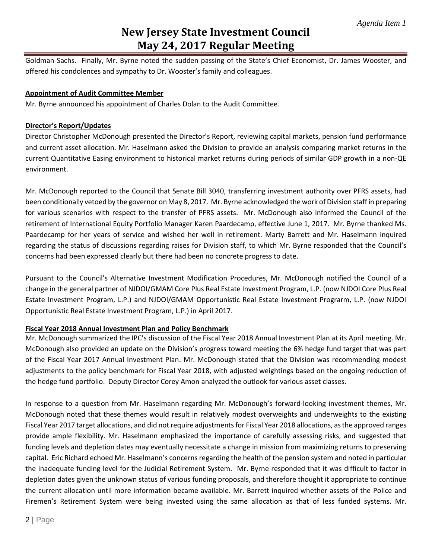Goldman Sachs. Finally, Mr. Byrne noted the sudden passing of the State's Chief Economist, Dr. James Wooster, and offered his condolences and sympathy to Dr. Wooster's family and colleagues.

### **Appointment of Audit Committee Member**

Mr. Byrne announced his appointment of Charles Dolan to the Audit Committee.

### **Director's Report/Updates**

Director Christopher McDonough presented the Director's Report, reviewing capital markets, pension fund performance and current asset allocation. Mr. Haselmann asked the Division to provide an analysis comparing market returns in the current Quantitative Easing environment to historical market returns during periods of similar GDP growth in a non-QE environment.

Mr. McDonough reported to the Council that Senate Bill 3040, transferring investment authority over PFRS assets, had been conditionally vetoed by the governor on May 8, 2017. Mr. Byrne acknowledged the work of Division staff in preparing for various scenarios with respect to the transfer of PFRS assets. Mr. McDonough also informed the Council of the retirement of International Equity Portfolio Manager Karen Paardecamp, effective June 1, 2017. Mr. Byrne thanked Ms. Paardecamp for her years of service and wished her well in retirement. Marty Barrett and Mr. Haselmann inquired regarding the status of discussions regarding raises for Division staff, to which Mr. Byrne responded that the Council's concerns had been expressed clearly but there had been no concrete progress to date.

Pursuant to the Council's Alternative Investment Modification Procedures, Mr. McDonough notified the Council of a change in the general partner of NJDOI/GMAM Core Plus Real Estate Investment Program, L.P. (now NJDOI Core Plus Real Estate Investment Program, L.P.) and NJDOI/GMAM Opportunistic Real Estate Investment Prograrm, L.P. (now NJDOI Opportunistic Real Estate Investment Program, L.P.) in April 2017.

### **Fiscal Year 2018 Annual Investment Plan and Policy Benchmark**

Mr. McDonough summarized the IPC's discussion of the Fiscal Year 2018 Annual Investment Plan at its April meeting. Mr. McDonough also provided an update on the Division's progress toward meeting the 6% hedge fund target that was part of the Fiscal Year 2017 Annual Investment Plan. Mr. McDonough stated that the Division was recommending modest adjustments to the policy benchmark for Fiscal Year 2018, with adjusted weightings based on the ongoing reduction of the hedge fund portfolio. Deputy Director Corey Amon analyzed the outlook for various asset classes.

In response to a question from Mr. Haselmann regarding Mr. McDonough's forward-looking investment themes, Mr. McDonough noted that these themes would result in relatively modest overweights and underweights to the existing Fiscal Year 2017 target allocations, and did not require adjustments for Fiscal Year 2018 allocations, as the approved ranges provide ample flexibility. Mr. Haselmann emphasized the importance of carefully assessing risks, and suggested that funding levels and depletion dates may eventually necessitate a change in mission from maximizing returns to preserving capital. Eric Richard echoed Mr. Haselmann's concerns regarding the health of the pension system and noted in particular the inadequate funding level for the Judicial Retirement System. Mr. Byrne responded that it was difficult to factor in depletion dates given the unknown status of various funding proposals, and therefore thought it appropriate to continue the current allocation until more information became available. Mr. Barrett inquired whether assets of the Police and Firemen's Retirement System were being invested using the same allocation as that of less funded systems. Mr.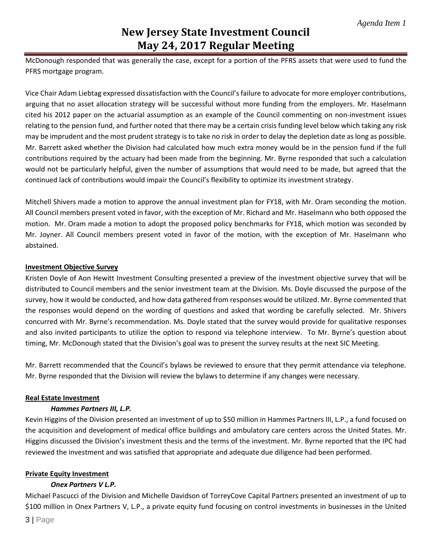McDonough responded that was generally the case, except for a portion of the PFRS assets that were used to fund the PFRS mortgage program.

Vice Chair Adam Liebtag expressed dissatisfaction with the Council's failure to advocate for more employer contributions, arguing that no asset allocation strategy will be successful without more funding from the employers. Mr. Haselmann cited his 2012 paper on the actuarial assumption as an example of the Council commenting on non-investment issues relating to the pension fund, and further noted that there may be a certain crisis funding level below which taking any risk may be imprudent and the most prudent strategy is to take no risk in order to delay the depletion date as long as possible. Mr. Barrett asked whether the Division had calculated how much extra money would be in the pension fund if the full contributions required by the actuary had been made from the beginning. Mr. Byrne responded that such a calculation would not be particularly helpful, given the number of assumptions that would need to be made, but agreed that the continued lack of contributions would impair the Council's flexibility to optimize its investment strategy.

Mitchell Shivers made a motion to approve the annual investment plan for FY18, with Mr. Oram seconding the motion. All Council members present voted in favor, with the exception of Mr. Richard and Mr. Haselmann who both opposed the motion. Mr. Oram made a motion to adopt the proposed policy benchmarks for FY18, which motion was seconded by Mr. Joyner. All Council members present voted in favor of the motion, with the exception of Mr. Haselmann who abstained.

### **Investment Objective Survey**

Kristen Doyle of Aon Hewitt Investment Consulting presented a preview of the investment objective survey that will be distributed to Council members and the senior investment team at the Division. Ms. Doyle discussed the purpose of the survey, how it would be conducted, and how data gathered from responses would be utilized. Mr. Byrne commented that the responses would depend on the wording of questions and asked that wording be carefully selected. Mr. Shivers concurred with Mr. Byrne's recommendation. Ms. Doyle stated that the survey would provide for qualitative responses and also invited participants to utilize the option to respond via telephone interview. To Mr. Byrne's question about timing, Mr. McDonough stated that the Division's goal was to present the survey results at the next SIC Meeting.

Mr. Barrett recommended that the Council's bylaws be reviewed to ensure that they permit attendance via telephone. Mr. Byrne responded that the Division will review the bylaws to determine if any changes were necessary.

### **Real Estate Investment**

## *Hammes Partners III, L.P.*

Kevin Higgins of the Division presented an investment of up to \$50 million in Hammes Partners III, L.P., a fund focused on the acquisition and development of medical office buildings and ambulatory care centers across the United States. Mr. Higgins discussed the Division's investment thesis and the terms of the investment. Mr. Byrne reported that the IPC had reviewed the investment and was satisfied that appropriate and adequate due diligence had been performed.

## **Private Equity Investment**

## *Onex Partners V L.P.*

Michael Pascucci of the Division and Michelle Davidson of TorreyCove Capital Partners presented an investment of up to \$100 million in Onex Partners V, L.P., a private equity fund focusing on control investments in businesses in the United